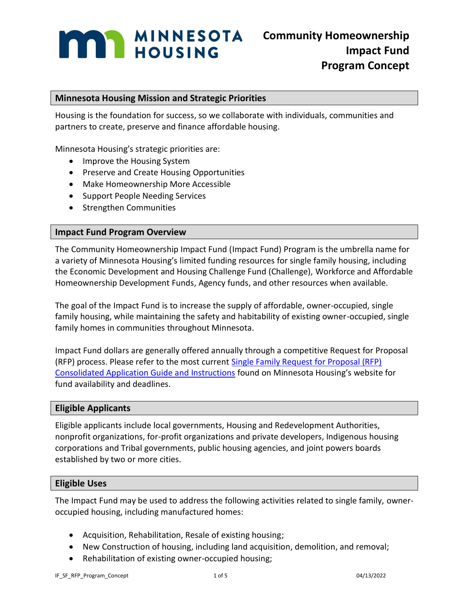

# **Minnesota Housing Mission and Strategic Priorities**

Housing is the foundation for success, so we collaborate with individuals, communities and partners to create, preserve and finance affordable housing.

Minnesota Housing's strategic priorities are:

- Improve the Housing System
- Preserve and Create Housing Opportunities
- Make Homeownership More Accessible
- Support People Needing Services
- Strengthen Communities

### **Impact Fund Program Overview**

The Community Homeownership Impact Fund (Impact Fund) Program is the umbrella name for a variety of Minnesota Housing's limited funding resources for single family housing, including the Economic Development and Housing Challenge Fund (Challenge), Workforce and Affordable Homeownership Development Funds, Agency funds, and other resources when available.

The goal of the Impact Fund is to increase the supply of affordable, owner-occupied, single family housing, while maintaining the safety and habitability of existing owner-occupied, single family homes in communities throughout Minnesota.

Impact Fund dollars are generally offered annually through a competitive Request for Proposal (RFP) process. Please refer to the most current [Single Family Request for Proposal \(RFP\)](http://www.mnhousing.gov/get/MHFA_1020029)  [Consolidated Application Guide and Instructions](http://www.mnhousing.gov/get/MHFA_1020029) found on Minnesota Housing's website for fund availability and deadlines.

#### **Eligible Applicants**

Eligible applicants include local governments, Housing and Redevelopment Authorities, nonprofit organizations, for-profit organizations and private developers, Indigenous housing corporations and Tribal governments, public housing agencies, and joint powers boards established by two or more cities.

#### **Eligible Uses**

The Impact Fund may be used to address the following activities related to single family, owneroccupied housing, including manufactured homes:

- Acquisition, Rehabilitation, Resale of existing housing;
- New Construction of housing, including land acquisition, demolition, and removal;
- Rehabilitation of existing owner-occupied housing;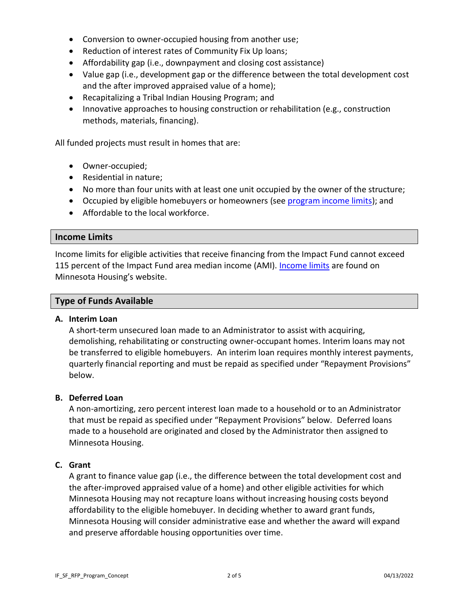- Conversion to owner-occupied housing from another use;
- Reduction of interest rates of Community Fix Up loans;
- Affordability gap (i.e., downpayment and closing cost assistance)
- Value gap (i.e., development gap or the difference between the total development cost and the after improved appraised value of a home);
- Recapitalizing a Tribal Indian Housing Program; and
- Innovative approaches to housing construction or rehabilitation (e.g., construction methods, materials, financing).

All funded projects must result in homes that are:

- Owner-occupied;
- Residential in nature;
- No more than four units with at least one unit occupied by the owner of the structure;
- Occupied by eligible homebuyers or homeowners (se[e program income limits\)](http://www.mnhousing.gov/get/MHFA_1019813); and
- Affordable to the local workforce.

### **Income Limits**

Income limits for eligible activities that receive financing from the Impact Fund cannot exceed 115 percent of the Impact Fund area median income (AMI). [Income limits](http://www.mnhousing.gov/get/MHFA_1019813) are found on Minnesota Housing's website.

### **Type of Funds Available**

#### **A. Interim Loan**

A short-term unsecured loan made to an Administrator to assist with acquiring, demolishing, rehabilitating or constructing owner-occupant homes. Interim loans may not be transferred to eligible homebuyers. An interim loan requires monthly interest payments, quarterly financial reporting and must be repaid as specified under "Repayment Provisions" below.

#### **B. Deferred Loan**

A non-amortizing, zero percent interest loan made to a household or to an Administrator that must be repaid as specified under "Repayment Provisions" below. Deferred loans made to a household are originated and closed by the Administrator then assigned to Minnesota Housing.

### **C. Grant**

A grant to finance value gap (i.e., the difference between the total development cost and the after-improved appraised value of a home) and other eligible activities for which Minnesota Housing may not recapture loans without increasing housing costs beyond affordability to the eligible homebuyer. In deciding whether to award grant funds, Minnesota Housing will consider administrative ease and whether the award will expand and preserve affordable housing opportunities over time.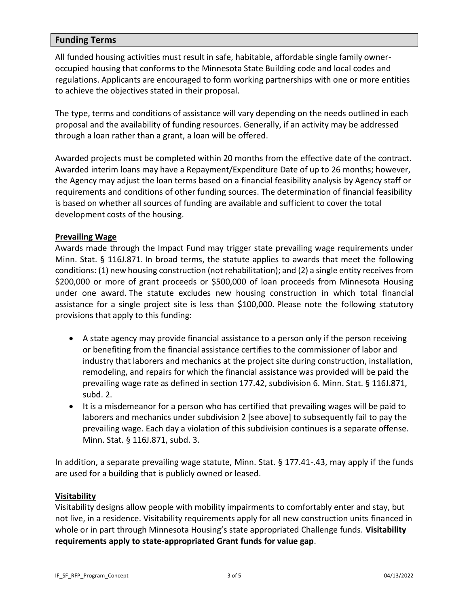# **Funding Terms**

All funded housing activities must result in safe, habitable, affordable single family owneroccupied housing that conforms to the Minnesota State Building code and local codes and regulations. Applicants are encouraged to form working partnerships with one or more entities to achieve the objectives stated in their proposal.

The type, terms and conditions of assistance will vary depending on the needs outlined in each proposal and the availability of funding resources. Generally, if an activity may be addressed through a loan rather than a grant, a loan will be offered.

Awarded projects must be completed within 20 months from the effective date of the contract. Awarded interim loans may have a Repayment/Expenditure Date of up to 26 months; however, the Agency may adjust the loan terms based on a financial feasibility analysis by Agency staff or requirements and conditions of other funding sources. The determination of financial feasibility is based on whether all sources of funding are available and sufficient to cover the total development costs of the housing.

# **Prevailing Wage**

Awards made through the Impact Fund may trigger state prevailing wage requirements under Minn. Stat. § 116J.871. In broad terms, the statute applies to awards that meet the following conditions: (1) new housing construction (not rehabilitation); and (2) a single entity receives from \$200,000 or more of grant proceeds or \$500,000 of loan proceeds from Minnesota Housing under one award. The statute excludes new housing construction in which total financial assistance for a single project site is less than \$100,000. Please note the following statutory provisions that apply to this funding:

- A state agency may provide financial assistance to a person only if the person receiving or benefiting from the financial assistance certifies to the commissioner of labor and industry that laborers and mechanics at the project site during construction, installation, remodeling, and repairs for which the financial assistance was provided will be paid the prevailing wage rate as defined in section 177.42, subdivision 6. Minn. Stat. § 116J.871, subd. 2.
- It is a misdemeanor for a person who has certified that prevailing wages will be paid to laborers and mechanics under subdivision 2 [see above] to subsequently fail to pay the prevailing wage. Each day a violation of this subdivision continues is a separate offense. Minn. Stat. § 116J.871, subd. 3.

In addition, a separate prevailing wage statute, Minn. Stat. § 177.41-.43, may apply if the funds are used for a building that is publicly owned or leased.

# **Visitability**

Visitability designs allow people with mobility impairments to comfortably enter and stay, but not live, in a residence. Visitability requirements apply for all new construction units financed in whole or in part through Minnesota Housing's state appropriated Challenge funds. **Visitability requirements apply to state-appropriated Grant funds for value gap**.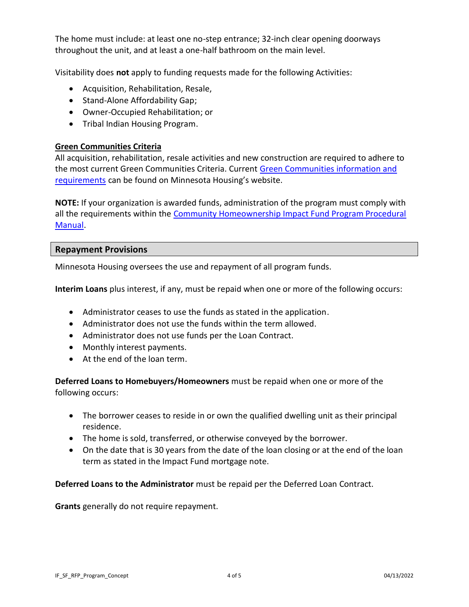The home must include: at least one no-step entrance; 32-inch clear opening doorways throughout the unit, and at least a one-half bathroom on the main level.

Visitability does **not** apply to funding requests made for the following Activities:

- Acquisition, Rehabilitation, Resale,
- Stand-Alone Affordability Gap;
- Owner-Occupied Rehabilitation; or
- Tribal Indian Housing Program.

# **Green Communities Criteria**

All acquisition, rehabilitation, resale activities and new construction are required to adhere to the most current Green Communities Criteria. Current [Green Communities information and](http://www.mnhousing.gov/wcs/Satellite?c=Page&cid=1358906164357&pagename=External%2FPage%2FEXTStandardLayout)  [requirements](http://www.mnhousing.gov/wcs/Satellite?c=Page&cid=1358906164357&pagename=External%2FPage%2FEXTStandardLayout) can be found on Minnesota Housing's website.

**NOTE:** If your organization is awarded funds, administration of the program must comply with all the requirements within the [Community Homeownership Impact Fund Program Procedural](http://www.mnhousing.gov/get/MHFA_1035819)  [Manual.](http://www.mnhousing.gov/get/MHFA_1035819)

# **Repayment Provisions**

Minnesota Housing oversees the use and repayment of all program funds.

**Interim Loans** plus interest, if any, must be repaid when one or more of the following occurs:

- Administrator ceases to use the funds as stated in the application.
- Administrator does not use the funds within the term allowed.
- Administrator does not use funds per the Loan Contract.
- Monthly interest payments.
- At the end of the loan term.

**Deferred Loans to Homebuyers/Homeowners** must be repaid when one or more of the following occurs:

- The borrower ceases to reside in or own the qualified dwelling unit as their principal residence.
- The home is sold, transferred, or otherwise conveyed by the borrower.
- On the date that is 30 years from the date of the loan closing or at the end of the loan term as stated in the Impact Fund mortgage note.

**Deferred Loans to the Administrator** must be repaid per the Deferred Loan Contract.

**Grants** generally do not require repayment.